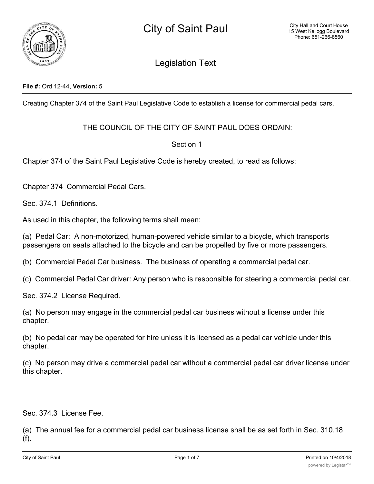

Legislation Text

### **File #:** Ord 12-44, **Version:** 5

Creating Chapter 374 of the Saint Paul Legislative Code to establish a license for commercial pedal cars.

# THE COUNCIL OF THE CITY OF SAINT PAUL DOES ORDAIN:

## Section 1

Chapter 374 of the Saint Paul Legislative Code is hereby created, to read as follows:

Chapter 374 Commercial Pedal Cars.

Sec. 374.1 Definitions.

As used in this chapter, the following terms shall mean:

(a) Pedal Car: A non-motorized, human-powered vehicle similar to a bicycle, which transports passengers on seats attached to the bicycle and can be propelled by five or more passengers.

(b) Commercial Pedal Car business. The business of operating a commercial pedal car.

(c) Commercial Pedal Car driver: Any person who is responsible for steering a commercial pedal car.

Sec. 374.2 License Required.

(a) No person may engage in the commercial pedal car business without a license under this chapter.

(b) No pedal car may be operated for hire unless it is licensed as a pedal car vehicle under this chapter.

(c) No person may drive a commercial pedal car without a commercial pedal car driver license under this chapter.

Sec. 374.3 License Fee.

(a) The annual fee for a commercial pedal car business license shall be as set forth in Sec. 310.18 (f).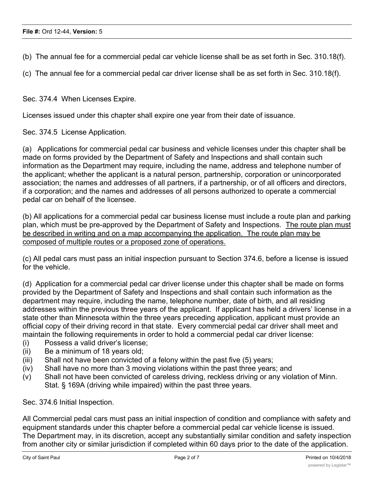(b) The annual fee for a commercial pedal car vehicle license shall be as set forth in Sec. 310.18(f).

(c) The annual fee for a commercial pedal car driver license shall be as set forth in Sec. 310.18(f).

Sec. 374.4 When Licenses Expire.

Licenses issued under this chapter shall expire one year from their date of issuance.

Sec. 374.5 License Application.

(a) Applications for commercial pedal car business and vehicle licenses under this chapter shall be made on forms provided by the Department of Safety and Inspections and shall contain such information as the Department may require, including the name, address and telephone number of the applicant; whether the applicant is a natural person, partnership, corporation or unincorporated association; the names and addresses of all partners, if a partnership, or of all officers and directors, if a corporation; and the names and addresses of all persons authorized to operate a commercial pedal car on behalf of the licensee.

(b) All applications for a commercial pedal car business license must include a route plan and parking plan, which must be pre-approved by the Department of Safety and Inspections. The route plan must be described in writing and on a map accompanying the application. The route plan may be composed of multiple routes or a proposed zone of operations.

(c) All pedal cars must pass an initial inspection pursuant to Section 374.6, before a license is issued for the vehicle.

(d) Application for a commercial pedal car driver license under this chapter shall be made on forms provided by the Department of Safety and Inspections and shall contain such information as the department may require, including the name, telephone number, date of birth, and all residing addresses within the previous three years of the applicant. If applicant has held a drivers' license in a state other than Minnesota within the three years preceding application, applicant must provide an official copy of their driving record in that state. Every commercial pedal car driver shall meet and maintain the following requirements in order to hold a commercial pedal car driver license:

- (i) Possess a valid driver's license;
- (ii) Be a minimum of 18 years old;
- (iii) Shall not have been convicted of a felony within the past five (5) years;
- (iv) Shall have no more than 3 moving violations within the past three years; and
- (v) Shall not have been convicted of careless driving, reckless driving or any violation of Minn. Stat. § 169A (driving while impaired) within the past three years.

Sec. 374.6 Initial Inspection.

All Commercial pedal cars must pass an initial inspection of condition and compliance with safety and equipment standards under this chapter before a commercial pedal car vehicle license is issued. The Department may, in its discretion, accept any substantially similar condition and safety inspection from another city or similar jurisdiction if completed within 60 days prior to the date of the application.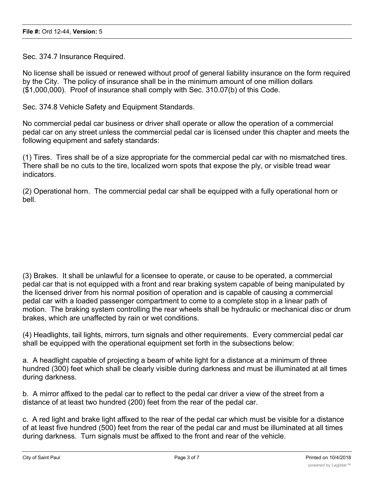Sec. 374.7 Insurance Required.

No license shall be issued or renewed without proof of general liability insurance on the form required by the City. The policy of insurance shall be in the minimum amount of one million dollars (\$1,000,000). Proof of insurance shall comply with Sec. 310.07(b) of this Code.

Sec. 374.8 Vehicle Safety and Equipment Standards.

No commercial pedal car business or driver shall operate or allow the operation of a commercial pedal car on any street unless the commercial pedal car is licensed under this chapter and meets the following equipment and safety standards:

(1) Tires. Tires shall be of a size appropriate for the commercial pedal car with no mismatched tires. There shall be no cuts to the tire, localized worn spots that expose the ply, or visible tread wear indicators.

(2) Operational horn. The commercial pedal car shall be equipped with a fully operational horn or bell.

(3) Brakes. It shall be unlawful for a licensee to operate, or cause to be operated, a commercial pedal car that is not equipped with a front and rear braking system capable of being manipulated by the licensed driver from his normal position of operation and is capable of causing a commercial pedal car with a loaded passenger compartment to come to a complete stop in a linear path of motion. The braking system controlling the rear wheels shall be hydraulic or mechanical disc or drum brakes, which are unaffected by rain or wet conditions.

(4) Headlights, tail lights, mirrors, turn signals and other requirements. Every commercial pedal car shall be equipped with the operational equipment set forth in the subsections below:

a. A headlight capable of projecting a beam of white light for a distance at a minimum of three hundred (300) feet which shall be clearly visible during darkness and must be illuminated at all times during darkness.

b. A mirror affixed to the pedal car to reflect to the pedal car driver a view of the street from a distance of at least two hundred (200) feet from the rear of the pedal car.

c. A red light and brake light affixed to the rear of the pedal car which must be visible for a distance of at least five hundred (500) feet from the rear of the pedal car and must be illuminated at all times during darkness. Turn signals must be affixed to the front and rear of the vehicle.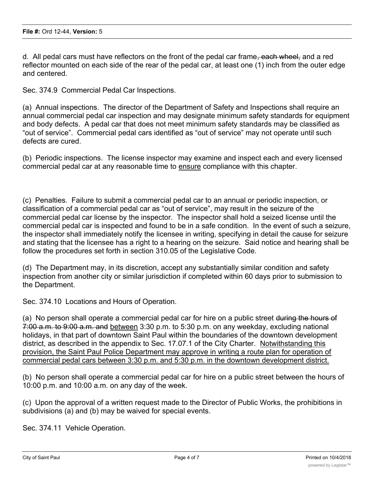d. All pedal cars must have reflectors on the front of the pedal car frame<del>, each wheel,</del> and a red reflector mounted on each side of the rear of the pedal car, at least one (1) inch from the outer edge and centered.

Sec. 374.9 Commercial Pedal Car Inspections.

(a) Annual inspections. The director of the Department of Safety and Inspections shall require an annual commercial pedal car inspection and may designate minimum safety standards for equipment and body defects. A pedal car that does not meet minimum safety standards may be classified as "out of service". Commercial pedal cars identified as "out of service" may not operate until such defects are cured.

(b) Periodic inspections. The license inspector may examine and inspect each and every licensed commercial pedal car at any reasonable time to ensure compliance with this chapter.

(c) Penalties. Failure to submit a commercial pedal car to an annual or periodic inspection, or classification of a commercial pedal car as "out of service", may result in the seizure of the commercial pedal car license by the inspector. The inspector shall hold a seized license until the commercial pedal car is inspected and found to be in a safe condition. In the event of such a seizure, the inspector shall immediately notify the licensee in writing, specifying in detail the cause for seizure and stating that the licensee has a right to a hearing on the seizure. Said notice and hearing shall be follow the procedures set forth in section 310.05 of the Legislative Code.

(d) The Department may, in its discretion, accept any substantially similar condition and safety inspection from another city or similar jurisdiction if completed within 60 days prior to submission to the Department.

Sec. 374.10 Locations and Hours of Operation.

(a) No person shall operate a commercial pedal car for hire on a public street during the hours of 7:00 a.m. to 9:00 a.m. and between 3:30 p.m. to 5:30 p.m. on any weekday, excluding national holidays, in that part of downtown Saint Paul within the boundaries of the downtown development district, as described in the appendix to Sec. 17.07.1 of the City Charter. Notwithstanding this provision, the Saint Paul Police Department may approve in writing a route plan for operation of commercial pedal cars between 3:30 p.m. and 5:30 p.m. in the downtown development district.

(b) No person shall operate a commercial pedal car for hire on a public street between the hours of 10:00 p.m. and 10:00 a.m. on any day of the week.

(c) Upon the approval of a written request made to the Director of Public Works, the prohibitions in subdivisions (a) and (b) may be waived for special events.

Sec. 374.11 Vehicle Operation.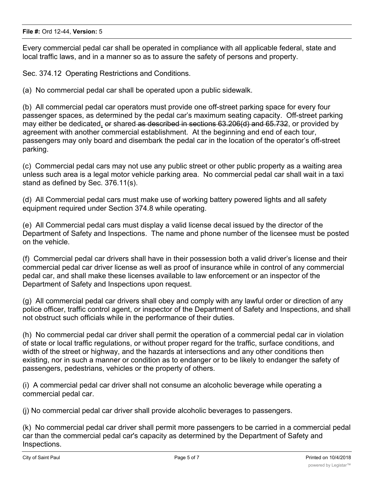Every commercial pedal car shall be operated in compliance with all applicable federal, state and local traffic laws, and in a manner so as to assure the safety of persons and property.

Sec. 374.12 Operating Restrictions and Conditions.

(a) No commercial pedal car shall be operated upon a public sidewalk.

(b) All commercial pedal car operators must provide one off-street parking space for every four passenger spaces, as determined by the pedal car's maximum seating capacity. Off-street parking may either be dedicated, or shared as described in sections 63.206(d) and 65.732, or provided by agreement with another commercial establishment. At the beginning and end of each tour, passengers may only board and disembark the pedal car in the location of the operator's off-street parking.

(c) Commercial pedal cars may not use any public street or other public property as a waiting area unless such area is a legal motor vehicle parking area. No commercial pedal car shall wait in a taxi stand as defined by Sec. 376.11(s).

(d) All Commercial pedal cars must make use of working battery powered lights and all safety equipment required under Section 374.8 while operating.

(e) All Commercial pedal cars must display a valid license decal issued by the director of the Department of Safety and Inspections. The name and phone number of the licensee must be posted on the vehicle.

(f) Commercial pedal car drivers shall have in their possession both a valid driver's license and their commercial pedal car driver license as well as proof of insurance while in control of any commercial pedal car, and shall make these licenses available to law enforcement or an inspector of the Department of Safety and Inspections upon request.

(g) All commercial pedal car drivers shall obey and comply with any lawful order or direction of any police officer, traffic control agent, or inspector of the Department of Safety and Inspections, and shall not obstruct such officials while in the performance of their duties.

(h) No commercial pedal car driver shall permit the operation of a commercial pedal car in violation of state or local traffic regulations, or without proper regard for the traffic, surface conditions, and width of the street or highway, and the hazards at intersections and any other conditions then existing, nor in such a manner or condition as to endanger or to be likely to endanger the safety of passengers, pedestrians, vehicles or the property of others.

(i) A commercial pedal car driver shall not consume an alcoholic beverage while operating a commercial pedal car.

(j) No commercial pedal car driver shall provide alcoholic beverages to passengers.

(k) No commercial pedal car driver shall permit more passengers to be carried in a commercial pedal car than the commercial pedal car's capacity as determined by the Department of Safety and Inspections.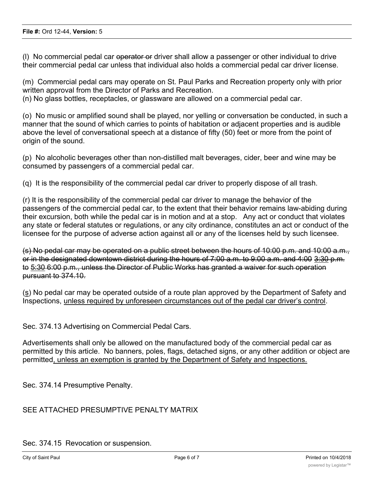(l) No commercial pedal car operator or driver shall allow a passenger or other individual to drive their commercial pedal car unless that individual also holds a commercial pedal car driver license.

(m) Commercial pedal cars may operate on St. Paul Parks and Recreation property only with prior written approval from the Director of Parks and Recreation.

(n) No glass bottles, receptacles, or glassware are allowed on a commercial pedal car.

(o) No music or amplified sound shall be played, nor yelling or conversation be conducted, in such a manner that the sound of which carries to points of habitation or adjacent properties and is audible above the level of conversational speech at a distance of fifty (50) feet or more from the point of origin of the sound.

(p) No alcoholic beverages other than non-distilled malt beverages, cider, beer and wine may be consumed by passengers of a commercial pedal car.

(q) It is the responsibility of the commercial pedal car driver to properly dispose of all trash.

(r) It is the responsibility of the commercial pedal car driver to manage the behavior of the passengers of the commercial pedal car, to the extent that their behavior remains law-abiding during their excursion, both while the pedal car is in motion and at a stop. Any act or conduct that violates any state or federal statutes or regulations, or any city ordinance, constitutes an act or conduct of the licensee for the purpose of adverse action against all or any of the licenses held by such licensee.

(s) No pedal car may be operated on a public street between the hours of 10:00 p.m. and 10:00 a.m., or in the designated downtown district during the hours of 7:00 a.m. to 9:00 a.m. and 4:00 3:30 p.m. to 5:30 6:00 p.m., unless the Director of Public Works has granted a waiver for such operation pursuant to 374.10.

(s) No pedal car may be operated outside of a route plan approved by the Department of Safety and Inspections, unless required by unforeseen circumstances out of the pedal car driver's control.

Sec. 374.13 Advertising on Commercial Pedal Cars.

Advertisements shall only be allowed on the manufactured body of the commercial pedal car as permitted by this article. No banners, poles, flags, detached signs, or any other addition or object are permitted, unless an exemption is granted by the Department of Safety and Inspections.

Sec. 374.14 Presumptive Penalty.

## SEE ATTACHED PRESUMPTIVE PENALTY MATRIX

Sec. 374.15 Revocation or suspension.